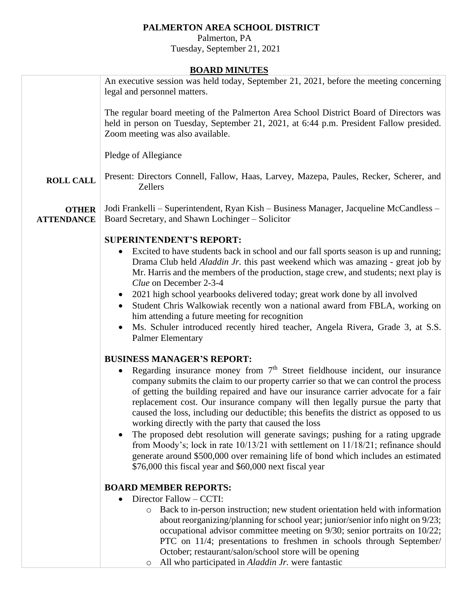## **PALMERTON AREA SCHOOL DISTRICT**

 Palmerton, PA Tuesday, September 21, 2021

## **BOARD MINUTES**

| BUAKD MINUTES                     |                                                                                                                                                                                                                                                                                                                                                                                                                                                                                                                                                                                                                                                                                                                                                                                                                                                                            |  |  |  |  |  |  |
|-----------------------------------|----------------------------------------------------------------------------------------------------------------------------------------------------------------------------------------------------------------------------------------------------------------------------------------------------------------------------------------------------------------------------------------------------------------------------------------------------------------------------------------------------------------------------------------------------------------------------------------------------------------------------------------------------------------------------------------------------------------------------------------------------------------------------------------------------------------------------------------------------------------------------|--|--|--|--|--|--|
|                                   | An executive session was held today, September 21, 2021, before the meeting concerning<br>legal and personnel matters.                                                                                                                                                                                                                                                                                                                                                                                                                                                                                                                                                                                                                                                                                                                                                     |  |  |  |  |  |  |
|                                   | The regular board meeting of the Palmerton Area School District Board of Directors was<br>held in person on Tuesday, September 21, 2021, at 6:44 p.m. President Fallow presided.<br>Zoom meeting was also available.                                                                                                                                                                                                                                                                                                                                                                                                                                                                                                                                                                                                                                                       |  |  |  |  |  |  |
|                                   | Pledge of Allegiance                                                                                                                                                                                                                                                                                                                                                                                                                                                                                                                                                                                                                                                                                                                                                                                                                                                       |  |  |  |  |  |  |
| <b>ROLL CALL</b>                  | Present: Directors Connell, Fallow, Haas, Larvey, Mazepa, Paules, Recker, Scherer, and<br><b>Zellers</b>                                                                                                                                                                                                                                                                                                                                                                                                                                                                                                                                                                                                                                                                                                                                                                   |  |  |  |  |  |  |
| <b>OTHER</b><br><b>ATTENDANCE</b> | Jodi Frankelli - Superintendent, Ryan Kish - Business Manager, Jacqueline McCandless -<br>Board Secretary, and Shawn Lochinger – Solicitor                                                                                                                                                                                                                                                                                                                                                                                                                                                                                                                                                                                                                                                                                                                                 |  |  |  |  |  |  |
|                                   | <b>SUPERINTENDENT'S REPORT:</b><br>Excited to have students back in school and our fall sports season is up and running;<br>Drama Club held Aladdin Jr. this past weekend which was amazing - great job by<br>Mr. Harris and the members of the production, stage crew, and students; next play is<br>Clue on December 2-3-4<br>2021 high school yearbooks delivered today; great work done by all involved<br>Student Chris Walkowiak recently won a national award from FBLA, working on<br>him attending a future meeting for recognition<br>Ms. Schuler introduced recently hired teacher, Angela Rivera, Grade 3, at S.S.<br><b>Palmer Elementary</b>                                                                                                                                                                                                                 |  |  |  |  |  |  |
|                                   | <b>BUSINESS MANAGER'S REPORT:</b><br>Regarding insurance money from 7 <sup>th</sup> Street fieldhouse incident, our insurance<br>company submits the claim to our property carrier so that we can control the process<br>of getting the building repaired and have our insurance carrier advocate for a fair<br>replacement cost. Our insurance company will then legally pursue the party that<br>caused the loss, including our deductible; this benefits the district as opposed to us<br>working directly with the party that caused the loss<br>The proposed debt resolution will generate savings; pushing for a rating upgrade<br>from Moody's; lock in rate 10/13/21 with settlement on 11/18/21; refinance should<br>generate around \$500,000 over remaining life of bond which includes an estimated<br>\$76,000 this fiscal year and \$60,000 next fiscal year |  |  |  |  |  |  |
|                                   | <b>BOARD MEMBER REPORTS:</b><br>Director Fallow – CCTI:<br>Back to in-person instruction; new student orientation held with information<br>$\circ$<br>about reorganizing/planning for school year; junior/senior info night on 9/23;<br>occupational advisor committee meeting on 9/30; senior portraits on 10/22;<br>PTC on 11/4; presentations to freshmen in schools through September/<br>October; restaurant/salon/school store will be opening<br>All who participated in <i>Aladdin Jr.</i> were fantastic<br>O                                                                                                                                                                                                                                                                                                                                                     |  |  |  |  |  |  |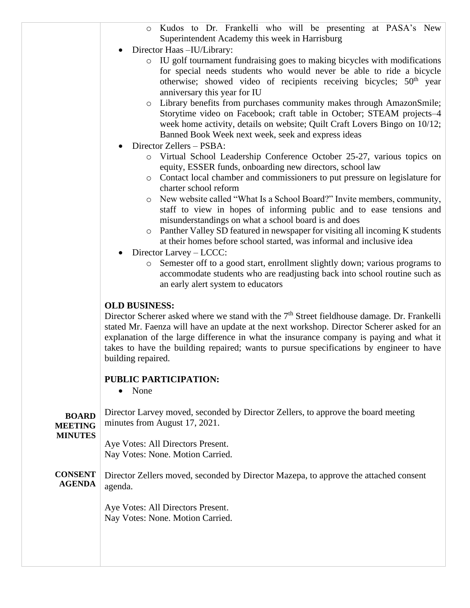- o Kudos to Dr. Frankelli who will be presenting at PASA's New Superintendent Academy this week in Harrisburg
- Director Haas –IU/Library:
	- o IU golf tournament fundraising goes to making bicycles with modifications for special needs students who would never be able to ride a bicycle otherwise; showed video of recipients receiving bicycles;  $50<sup>th</sup>$  year anniversary this year for IU
	- o Library benefits from purchases community makes through AmazonSmile; Storytime video on Facebook; craft table in October; STEAM projects–4 week home activity, details on website; Quilt Craft Lovers Bingo on 10/12; Banned Book Week next week, seek and express ideas
- Director Zellers PSBA:
	- o Virtual School Leadership Conference October 25-27, various topics on equity, ESSER funds, onboarding new directors, school law
	- o Contact local chamber and commissioners to put pressure on legislature for charter school reform
	- o New website called "What Is a School Board?" Invite members, community, staff to view in hopes of informing public and to ease tensions and misunderstandings on what a school board is and does
	- $\circ$  Panther Valley SD featured in newspaper for visiting all incoming K students at their homes before school started, was informal and inclusive idea
- Director Larvey LCCC:
	- o Semester off to a good start, enrollment slightly down; various programs to accommodate students who are readjusting back into school routine such as an early alert system to educators

## **OLD BUSINESS:**

Director Scherer asked where we stand with the  $7<sup>th</sup>$  Street fieldhouse damage. Dr. Frankelli stated Mr. Faenza will have an update at the next workshop. Director Scherer asked for an explanation of the large difference in what the insurance company is paying and what it takes to have the building repaired; wants to pursue specifications by engineer to have building repaired.

## **PUBLIC PARTICIPATION:**

• None

| <b>BOARD</b><br><b>MEETING</b>  | Director Larvey moved, seconded by Director Zellers, to approve the board meeting<br>minutes from August 17, 2021. |
|---------------------------------|--------------------------------------------------------------------------------------------------------------------|
| <b>MINUTES</b>                  | Aye Votes: All Directors Present.<br>Nay Votes: None. Motion Carried.                                              |
| <b>CONSENT</b><br><b>AGENDA</b> | Director Zellers moved, seconded by Director Mazepa, to approve the attached consent<br>agenda.                    |
|                                 | Aye Votes: All Directors Present.<br>Nay Votes: None. Motion Carried.                                              |
|                                 |                                                                                                                    |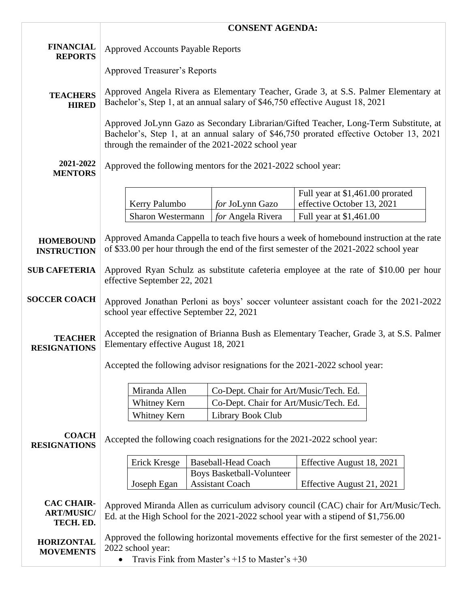|                                                     | <b>CONSENT AGENDA:</b>                                                                                                                                                                                                                |                                  |                                        |                                                                |  |  |
|-----------------------------------------------------|---------------------------------------------------------------------------------------------------------------------------------------------------------------------------------------------------------------------------------------|----------------------------------|----------------------------------------|----------------------------------------------------------------|--|--|
| <b>FINANCIAL</b><br><b>REPORTS</b>                  | <b>Approved Accounts Payable Reports</b>                                                                                                                                                                                              |                                  |                                        |                                                                |  |  |
|                                                     | <b>Approved Treasurer's Reports</b>                                                                                                                                                                                                   |                                  |                                        |                                                                |  |  |
| <b>TEACHERS</b><br><b>HIRED</b>                     | Approved Angela Rivera as Elementary Teacher, Grade 3, at S.S. Palmer Elementary at<br>Bachelor's, Step 1, at an annual salary of \$46,750 effective August 18, 2021                                                                  |                                  |                                        |                                                                |  |  |
|                                                     | Approved JoLynn Gazo as Secondary Librarian/Gifted Teacher, Long-Term Substitute, at<br>Bachelor's, Step 1, at an annual salary of \$46,750 prorated effective October 13, 2021<br>through the remainder of the 2021-2022 school year |                                  |                                        |                                                                |  |  |
| 2021-2022<br><b>MENTORS</b>                         | Approved the following mentors for the 2021-2022 school year:                                                                                                                                                                         |                                  |                                        |                                                                |  |  |
|                                                     | Kerry Palumbo                                                                                                                                                                                                                         |                                  | for JoLynn Gazo                        | Full year at \$1,461.00 prorated<br>effective October 13, 2021 |  |  |
|                                                     | Sharon Westermann                                                                                                                                                                                                                     |                                  | for Angela Rivera                      | Full year at \$1,461.00                                        |  |  |
| <b>HOMEBOUND</b><br><b>INSTRUCTION</b>              | Approved Amanda Cappella to teach five hours a week of homebound instruction at the rate<br>of \$33.00 per hour through the end of the first semester of the 2021-2022 school year                                                    |                                  |                                        |                                                                |  |  |
| <b>SUB CAFETERIA</b>                                | Approved Ryan Schulz as substitute cafeteria employee at the rate of \$10.00 per hour<br>effective September 22, 2021                                                                                                                 |                                  |                                        |                                                                |  |  |
| <b>SOCCER COACH</b>                                 | Approved Jonathan Perloni as boys' soccer volunteer assistant coach for the 2021-2022<br>school year effective September 22, 2021                                                                                                     |                                  |                                        |                                                                |  |  |
| <b>TEACHER</b><br><b>RESIGNATIONS</b>               | Accepted the resignation of Brianna Bush as Elementary Teacher, Grade 3, at S.S. Palmer<br>Elementary effective August 18, 2021                                                                                                       |                                  |                                        |                                                                |  |  |
|                                                     | Accepted the following advisor resignations for the 2021-2022 school year:                                                                                                                                                            |                                  |                                        |                                                                |  |  |
|                                                     | Miranda Allen                                                                                                                                                                                                                         |                                  | Co-Dept. Chair for Art/Music/Tech. Ed. |                                                                |  |  |
|                                                     | Whitney Kern                                                                                                                                                                                                                          |                                  | Co-Dept. Chair for Art/Music/Tech. Ed. |                                                                |  |  |
|                                                     | Whitney Kern                                                                                                                                                                                                                          |                                  | Library Book Club                      |                                                                |  |  |
| <b>COACH</b><br><b>RESIGNATIONS</b>                 | Accepted the following coach resignations for the 2021-2022 school year:                                                                                                                                                              |                                  |                                        |                                                                |  |  |
|                                                     | Erick Kresge                                                                                                                                                                                                                          |                                  | <b>Baseball-Head Coach</b>             | Effective August 18, 2021                                      |  |  |
|                                                     |                                                                                                                                                                                                                                       | <b>Boys Basketball-Volunteer</b> |                                        |                                                                |  |  |
|                                                     | Joseph Egan                                                                                                                                                                                                                           |                                  | <b>Assistant Coach</b>                 | Effective August 21, 2021                                      |  |  |
| <b>CAC CHAIR-</b><br><b>ART/MUSIC/</b><br>TECH. ED. | Approved Miranda Allen as curriculum advisory council (CAC) chair for Art/Music/Tech.<br>Ed. at the High School for the 2021-2022 school year with a stipend of \$1,756.00                                                            |                                  |                                        |                                                                |  |  |
| <b>HORIZONTAL</b><br><b>MOVEMENTS</b>               | Approved the following horizontal movements effective for the first semester of the 2021-<br>2022 school year:<br>Travis Fink from Master's $+15$ to Master's $+30$                                                                   |                                  |                                        |                                                                |  |  |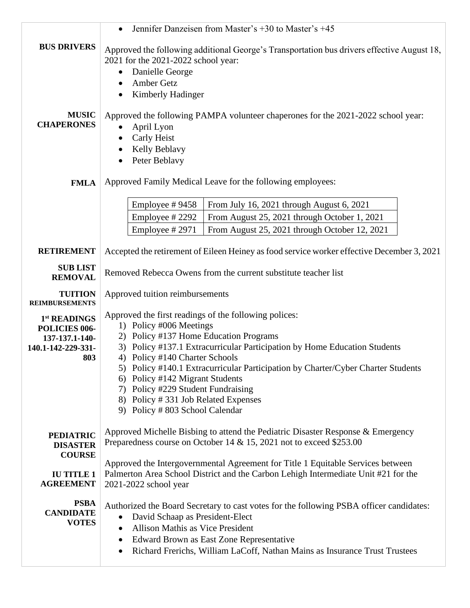|                                                                                          | Jennifer Danzeisen from Master's +30 to Master's +45<br>$\bullet$                                                                                                                                                                                                                                                                                                                                                                                                               |  |  |  |
|------------------------------------------------------------------------------------------|---------------------------------------------------------------------------------------------------------------------------------------------------------------------------------------------------------------------------------------------------------------------------------------------------------------------------------------------------------------------------------------------------------------------------------------------------------------------------------|--|--|--|
| <b>BUS DRIVERS</b>                                                                       | Approved the following additional George's Transportation bus drivers effective August 18,<br>2021 for the 2021-2022 school year:<br>Danielle George<br>٠<br>Amber Getz<br>Kimberly Hadinger                                                                                                                                                                                                                                                                                    |  |  |  |
| <b>MUSIC</b><br><b>CHAPERONES</b>                                                        | Approved the following PAMPA volunteer chaperones for the 2021-2022 school year:<br>April Lyon<br>Carly Heist<br>Kelly Beblavy<br>Peter Beblavy                                                                                                                                                                                                                                                                                                                                 |  |  |  |
| <b>FMLA</b>                                                                              | Approved Family Medical Leave for the following employees:                                                                                                                                                                                                                                                                                                                                                                                                                      |  |  |  |
|                                                                                          | Employee #9458<br>From July 16, 2021 through August 6, 2021<br>Employee #2292<br>From August 25, 2021 through October 1, 2021<br>Employee #2971<br>From August 25, 2021 through October 12, 2021                                                                                                                                                                                                                                                                                |  |  |  |
| <b>RETIREMENT</b>                                                                        | Accepted the retirement of Eileen Heiney as food service worker effective December 3, 2021                                                                                                                                                                                                                                                                                                                                                                                      |  |  |  |
| <b>SUB LIST</b><br><b>REMOVAL</b>                                                        | Removed Rebecca Owens from the current substitute teacher list                                                                                                                                                                                                                                                                                                                                                                                                                  |  |  |  |
| <b>TUITION</b><br><b>REIMBURSEMENTS</b>                                                  | Approved tuition reimbursements                                                                                                                                                                                                                                                                                                                                                                                                                                                 |  |  |  |
| 1 <sup>st</sup> READINGS<br>POLICIES 006-<br>137-137.1-140-<br>140.1-142-229-331-<br>803 | Approved the first readings of the following polices:<br>1) Policy #006 Meetings<br>2) Policy #137 Home Education Programs<br>3) Policy #137.1 Extracurricular Participation by Home Education Students<br>4) Policy #140 Charter Schools<br>5) Policy #140.1 Extracurricular Participation by Charter/Cyber Charter Students<br>6) Policy #142 Migrant Students<br>7) Policy #229 Student Fundraising<br>8) Policy #331 Job Related Expenses<br>9) Policy #803 School Calendar |  |  |  |
| <b>PEDIATRIC</b><br><b>DISASTER</b><br><b>COURSE</b>                                     | Approved Michelle Bisbing to attend the Pediatric Disaster Response & Emergency<br>Preparedness course on October 14 & 15, 2021 not to exceed \$253.00                                                                                                                                                                                                                                                                                                                          |  |  |  |
| <b>IU TITLE 1</b><br><b>AGREEMENT</b>                                                    | Approved the Intergovernmental Agreement for Title 1 Equitable Services between<br>Palmerton Area School District and the Carbon Lehigh Intermediate Unit #21 for the<br>2021-2022 school year                                                                                                                                                                                                                                                                                  |  |  |  |
| <b>PSBA</b><br><b>CANDIDATE</b><br><b>VOTES</b>                                          | Authorized the Board Secretary to cast votes for the following PSBA officer candidates:<br>David Schaap as President-Elect<br>$\bullet$<br>Allison Mathis as Vice President<br>٠<br>Edward Brown as East Zone Representative<br>٠<br>Richard Frerichs, William LaCoff, Nathan Mains as Insurance Trust Trustees<br>٠                                                                                                                                                            |  |  |  |